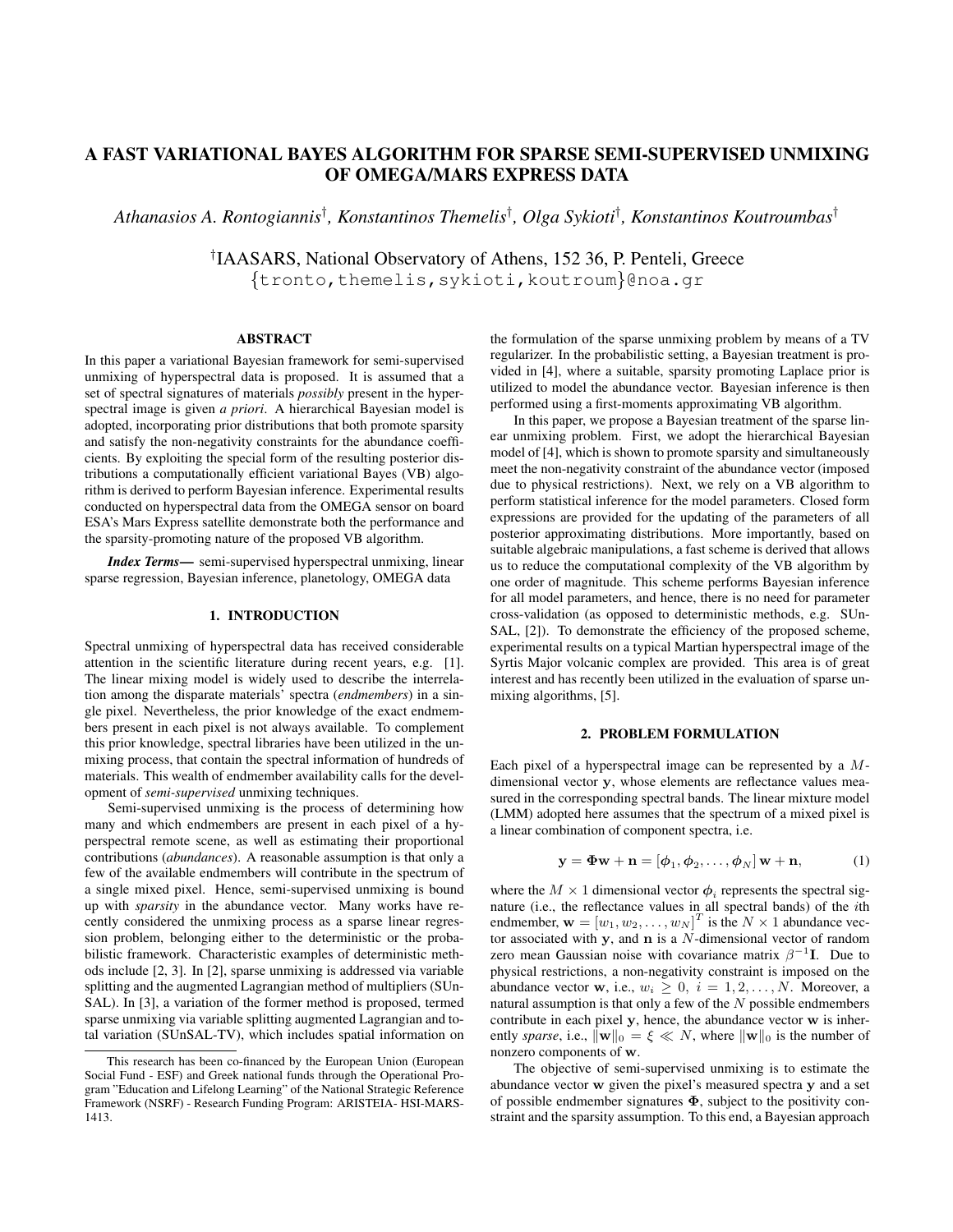# A FAST VARIATIONAL BAYES ALGORITHM FOR SPARSE SEMI-SUPERVISED UNMIXING OF OMEGA/MARS EXPRESS DATA

*Athanasios A. Rontogiannis*† *, Konstantinos Themelis*† *, Olga Sykioti*† *, Konstantinos Koutroumbas*†

† IAASARS, National Observatory of Athens, 152 36, P. Penteli, Greece

{tronto,themelis,sykioti,koutroum}@noa.gr

# ABSTRACT

In this paper a variational Bayesian framework for semi-supervised unmixing of hyperspectral data is proposed. It is assumed that a set of spectral signatures of materials *possibly* present in the hyperspectral image is given *a priori*. A hierarchical Bayesian model is adopted, incorporating prior distributions that both promote sparsity and satisfy the non-negativity constraints for the abundance coefficients. By exploiting the special form of the resulting posterior distributions a computationally efficient variational Bayes (VB) algorithm is derived to perform Bayesian inference. Experimental results conducted on hyperspectral data from the OMEGA sensor on board ESA's Mars Express satellite demonstrate both the performance and the sparsity-promoting nature of the proposed VB algorithm.

*Index Terms*— semi-supervised hyperspectral unmixing, linear sparse regression, Bayesian inference, planetology, OMEGA data

## 1. INTRODUCTION

Spectral unmixing of hyperspectral data has received considerable attention in the scientific literature during recent years, e.g. [1]. The linear mixing model is widely used to describe the interrelation among the disparate materials' spectra (*endmembers*) in a single pixel. Nevertheless, the prior knowledge of the exact endmembers present in each pixel is not always available. To complement this prior knowledge, spectral libraries have been utilized in the unmixing process, that contain the spectral information of hundreds of materials. This wealth of endmember availability calls for the development of *semi-supervised* unmixing techniques.

Semi-supervised unmixing is the process of determining how many and which endmembers are present in each pixel of a hyperspectral remote scene, as well as estimating their proportional contributions (*abundances*). A reasonable assumption is that only a few of the available endmembers will contribute in the spectrum of a single mixed pixel. Hence, semi-supervised unmixing is bound up with *sparsity* in the abundance vector. Many works have recently considered the unmixing process as a sparse linear regression problem, belonging either to the deterministic or the probabilistic framework. Characteristic examples of deterministic methods include [2, 3]. In [2], sparse unmixing is addressed via variable splitting and the augmented Lagrangian method of multipliers (SUn-SAL). In [3], a variation of the former method is proposed, termed sparse unmixing via variable splitting augmented Lagrangian and total variation (SUnSAL-TV), which includes spatial information on the formulation of the sparse unmixing problem by means of a TV regularizer. In the probabilistic setting, a Bayesian treatment is provided in [4], where a suitable, sparsity promoting Laplace prior is utilized to model the abundance vector. Bayesian inference is then performed using a first-moments approximating VB algorithm.

In this paper, we propose a Bayesian treatment of the sparse linear unmixing problem. First, we adopt the hierarchical Bayesian model of [4], which is shown to promote sparsity and simultaneously meet the non-negativity constraint of the abundance vector (imposed due to physical restrictions). Next, we rely on a VB algorithm to perform statistical inference for the model parameters. Closed form expressions are provided for the updating of the parameters of all posterior approximating distributions. More importantly, based on suitable algebraic manipulations, a fast scheme is derived that allows us to reduce the computational complexity of the VB algorithm by one order of magnitude. This scheme performs Bayesian inference for all model parameters, and hence, there is no need for parameter cross-validation (as opposed to deterministic methods, e.g. SUn-SAL, [2]). To demonstrate the efficiency of the proposed scheme, experimental results on a typical Martian hyperspectral image of the Syrtis Major volcanic complex are provided. This area is of great interest and has recently been utilized in the evaluation of sparse unmixing algorithms, [5].

#### 2. PROBLEM FORMULATION

Each pixel of a hyperspectral image can be represented by a Mdimensional vector y, whose elements are reflectance values measured in the corresponding spectral bands. The linear mixture model (LMM) adopted here assumes that the spectrum of a mixed pixel is a linear combination of component spectra, i.e.

$$
\mathbf{y} = \mathbf{\Phi}\mathbf{w} + \mathbf{n} = [\phi_1, \phi_2, \dots, \phi_N] \mathbf{w} + \mathbf{n},\tag{1}
$$

where the  $M \times 1$  dimensional vector  $\phi_i$  represents the spectral signature (i.e., the reflectance values in all spectral bands) of the ith endmember,  $\mathbf{w} = [w_1, w_2, \dots, w_N]^T$  is the  $N \times 1$  abundance vector associated with  $y$ , and  $n$  is a  $N$ -dimensional vector of random zero mean Gaussian noise with covariance matrix  $\beta^{-1}I$ . Due to physical restrictions, a non-negativity constraint is imposed on the abundance vector w, i.e.,  $w_i \geq 0$ ,  $i = 1, 2, ..., N$ . Moreover, a natural assumption is that only a few of the  $N$  possible endmembers contribute in each pixel y, hence, the abundance vector w is inherently *sparse*, i.e.,  $\|\mathbf{w}\|_0 = \xi \ll N$ , where  $\|\mathbf{w}\|_0$  is the number of nonzero components of w.

The objective of semi-supervised unmixing is to estimate the abundance vector w given the pixel's measured spectra y and a set of possible endmember signatures  $\Phi$ , subject to the positivity constraint and the sparsity assumption. To this end, a Bayesian approach

This research has been co-financed by the European Union (European Social Fund - ESF) and Greek national funds through the Operational Program "Education and Lifelong Learning" of the National Strategic Reference Framework (NSRF) - Research Funding Program: ARISTEIA- HSI-MARS-1413.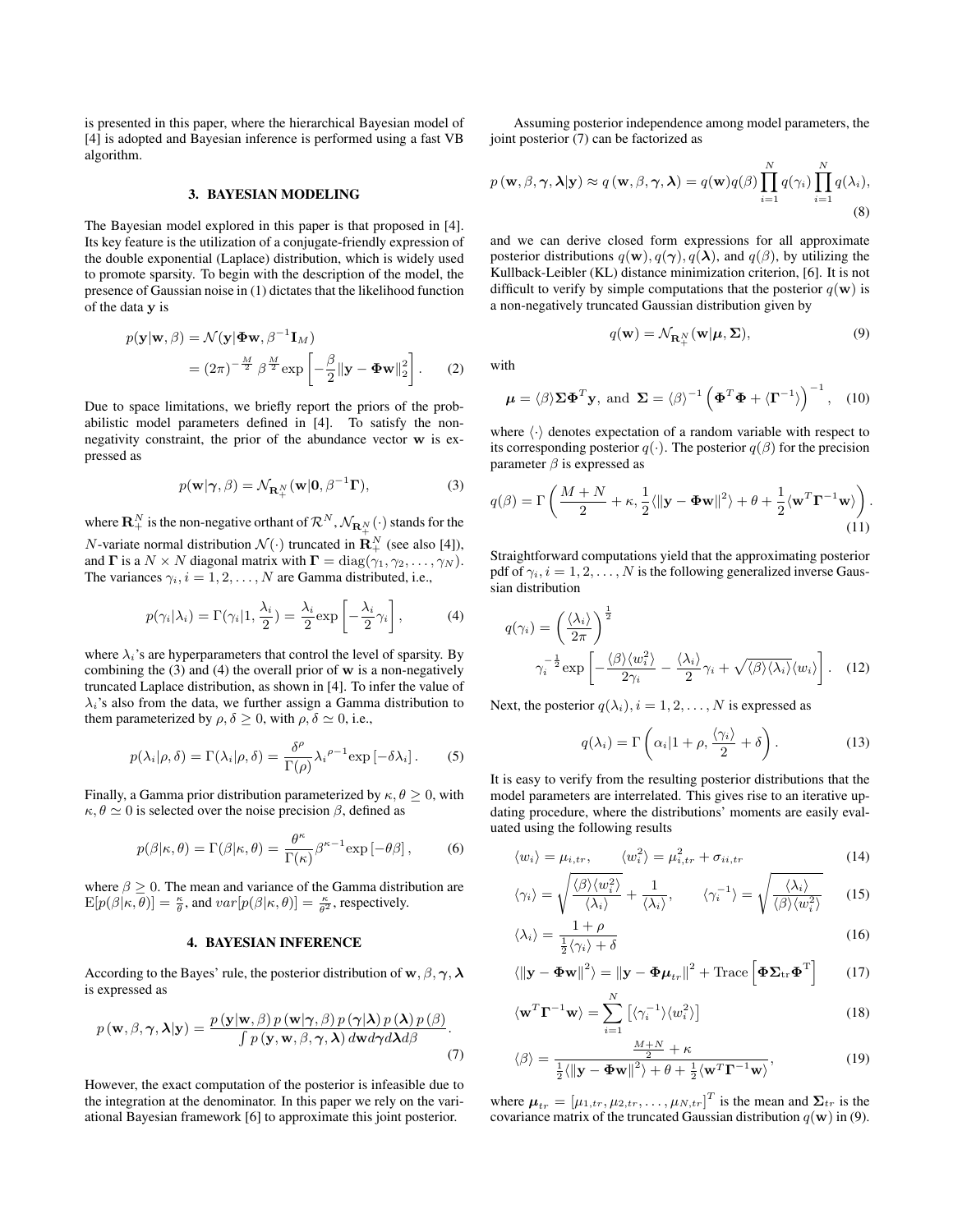is presented in this paper, where the hierarchical Bayesian model of [4] is adopted and Bayesian inference is performed using a fast VB algorithm.

### 3. BAYESIAN MODELING

The Bayesian model explored in this paper is that proposed in [4]. Its key feature is the utilization of a conjugate-friendly expression of the double exponential (Laplace) distribution, which is widely used to promote sparsity. To begin with the description of the model, the presence of Gaussian noise in (1) dictates that the likelihood function of the data y is

$$
p(\mathbf{y}|\mathbf{w}, \beta) = \mathcal{N}(\mathbf{y}|\mathbf{\Phi}\mathbf{w}, \beta^{-1}\mathbf{I}_M)
$$
  
=  $(2\pi)^{-\frac{M}{2}} \beta^{\frac{M}{2}} \exp\left[-\frac{\beta}{2} ||\mathbf{y} - \mathbf{\Phi}\mathbf{w}||_2^2\right].$  (2)

Due to space limitations, we briefly report the priors of the probabilistic model parameters defined in [4]. To satisfy the nonnegativity constraint, the prior of the abundance vector w is expressed as

$$
p(\mathbf{w}|\boldsymbol{\gamma}, \beta) = \mathcal{N}_{\mathbf{R}_+^N}(\mathbf{w}|\mathbf{0}, \beta^{-1}\mathbf{\Gamma}),
$$
\n(3)

where  $\mathbf{R}_+^N$  is the non-negative orthant of  $\mathcal{R}^N, \mathcal{N}_{\mathbf{R}_+^N}(\cdot)$  stands for the *N*-variate normal distribution  $\mathcal{N}(\cdot)$  truncated in  $\mathbb{R}^N_+$  (see also [4]), and  $\Gamma$  is a  $N \times N$  diagonal matrix with  $\Gamma = \text{diag}(\gamma_1, \gamma_2, \dots, \gamma_N)$ . The variances  $\gamma_i$ ,  $i = 1, 2, \dots, N$  are Gamma distributed, i.e.,

$$
p(\gamma_i|\lambda_i) = \Gamma(\gamma_i|1, \frac{\lambda_i}{2}) = \frac{\lambda_i}{2} \exp\left[-\frac{\lambda_i}{2}\gamma_i\right],\tag{4}
$$

where  $\lambda_i$ 's are hyperparameters that control the level of sparsity. By combining the  $(3)$  and  $(4)$  the overall prior of w is a non-negatively truncated Laplace distribution, as shown in [4]. To infer the value of  $\lambda_i$ 's also from the data, we further assign a Gamma distribution to them parameterized by  $\rho, \delta \geq 0$ , with  $\rho, \delta \simeq 0$ , i.e.,

$$
p(\lambda_i|\rho,\delta) = \Gamma(\lambda_i|\rho,\delta) = \frac{\delta^{\rho}}{\Gamma(\rho)}{\lambda_i}^{\rho-1} \exp\left[-\delta\lambda_i\right].
$$
 (5)

Finally, a Gamma prior distribution parameterized by  $\kappa, \theta \geq 0$ , with  $\kappa, \theta \simeq 0$  is selected over the noise precision  $\beta$ , defined as

$$
p(\beta|\kappa,\theta) = \Gamma(\beta|\kappa,\theta) = \frac{\theta^{\kappa}}{\Gamma(\kappa)} \beta^{\kappa-1} \exp[-\theta \beta],\tag{6}
$$

where  $\beta > 0$ . The mean and variance of the Gamma distribution are  $E[p(\beta|\kappa, \theta)] = \frac{\kappa}{\theta}$ , and  $var[p(\beta|\kappa, \theta)] = \frac{\kappa}{\theta^2}$ , respectively.

## 4. BAYESIAN INFERENCE

According to the Bayes' rule, the posterior distribution of  $\mathbf{w}, \beta, \gamma, \lambda$ is expressed as

$$
p(\mathbf{w}, \beta, \gamma, \lambda | \mathbf{y}) = \frac{p(\mathbf{y} | \mathbf{w}, \beta) p(\mathbf{w} | \gamma, \beta) p(\gamma | \lambda) p(\lambda) p(\beta)}{\int p(\mathbf{y}, \mathbf{w}, \beta, \gamma, \lambda) d\mathbf{w} d\gamma d\lambda d\beta}.
$$
\n(7)

However, the exact computation of the posterior is infeasible due to the integration at the denominator. In this paper we rely on the variational Bayesian framework [6] to approximate this joint posterior.

Assuming posterior independence among model parameters, the joint posterior (7) can be factorized as

$$
p(\mathbf{w}, \beta, \boldsymbol{\gamma}, \boldsymbol{\lambda} | \mathbf{y}) \approx q(\mathbf{w}, \beta, \boldsymbol{\gamma}, \boldsymbol{\lambda}) = q(\mathbf{w})q(\beta) \prod_{i=1}^{N} q(\gamma_i) \prod_{i=1}^{N} q(\lambda_i),
$$
\n(8)

and we can derive closed form expressions for all approximate posterior distributions  $q(\mathbf{w}), q(\boldsymbol{\gamma}), q(\boldsymbol{\lambda})$ , and  $q(\beta)$ , by utilizing the Kullback-Leibler (KL) distance minimization criterion, [6]. It is not difficult to verify by simple computations that the posterior  $q(\mathbf{w})$  is a non-negatively truncated Gaussian distribution given by

with

$$
\boldsymbol{\mu} = \langle \beta \rangle \boldsymbol{\Sigma} \boldsymbol{\Phi}^T \mathbf{y}, \text{ and } \boldsymbol{\Sigma} = \langle \beta \rangle^{-1} \left( \boldsymbol{\Phi}^T \boldsymbol{\Phi} + \langle \boldsymbol{\Gamma}^{-1} \rangle \right)^{-1}, \quad (10)
$$

 $q(\mathbf{w}) = \mathcal{N}_{\mathbf{R}_+^N}(\mathbf{w}|\boldsymbol{\mu}, \boldsymbol{\Sigma}),$  (9)

where  $\langle \cdot \rangle$  denotes expectation of a random variable with respect to its corresponding posterior  $q(\cdot)$ . The posterior  $q(\beta)$  for the precision parameter  $\beta$  is expressed as

$$
q(\beta) = \Gamma\left(\frac{M+N}{2} + \kappa, \frac{1}{2}\langle \|\mathbf{y} - \mathbf{\Phi}\mathbf{w}\|^2 \rangle + \theta + \frac{1}{2}\langle \mathbf{w}^T \mathbf{\Gamma}^{-1} \mathbf{w} \rangle \right).
$$
\n(11)

Straightforward computations yield that the approximating posterior pdf of  $\gamma_i$ ,  $i = 1, 2, ..., N$  is the following generalized inverse Gaussian distribution

$$
q(\gamma_i) = \left(\frac{\langle \lambda_i \rangle}{2\pi}\right)^{\frac{1}{2}} \cdot \gamma_i^{-\frac{1}{2}} \exp\left[-\frac{\langle \beta \rangle \langle w_i^2 \rangle}{2\gamma_i} - \frac{\langle \lambda_i \rangle}{2}\gamma_i + \sqrt{\langle \beta \rangle \langle \lambda_i \rangle} \langle w_i \rangle\right]. \quad (12)
$$

Next, the posterior  $q(\lambda_i)$ ,  $i = 1, 2, ..., N$  is expressed as

$$
q(\lambda_i) = \Gamma\left(\alpha_i|1+\rho, \frac{\langle \gamma_i \rangle}{2} + \delta\right). \tag{13}
$$

It is easy to verify from the resulting posterior distributions that the model parameters are interrelated. This gives rise to an iterative updating procedure, where the distributions' moments are easily evaluated using the following results

$$
\langle w_i \rangle = \mu_{i,tr}, \qquad \langle w_i^2 \rangle = \mu_{i,tr}^2 + \sigma_{ii,tr}
$$
 (14)

$$
\langle \gamma_i \rangle = \sqrt{\frac{\langle \beta \rangle \langle w_i^2 \rangle}{\langle \lambda_i \rangle}} + \frac{1}{\langle \lambda_i \rangle}, \qquad \langle \gamma_i^{-1} \rangle = \sqrt{\frac{\langle \lambda_i \rangle}{\langle \beta \rangle \langle w_i^2 \rangle}} \qquad (15)
$$

$$
\langle \lambda_i \rangle = \frac{1+\rho}{\frac{1}{2}\langle \gamma_i \rangle + \delta} \tag{16}
$$

$$
\langle \|\mathbf{y} - \mathbf{\Phi}\mathbf{w}\|^2 \rangle = \|\mathbf{y} - \mathbf{\Phi}\boldsymbol{\mu}_{tr}\|^2 + \text{Trace}\left[\mathbf{\Phi}\boldsymbol{\Sigma}_{\text{tr}}\mathbf{\Phi}^{\text{T}}\right] \tag{17}
$$

$$
\langle \mathbf{w}^T \mathbf{\Gamma}^{-1} \mathbf{w} \rangle = \sum_{i=1}^N \left[ \langle \gamma_i^{-1} \rangle \langle w_i^2 \rangle \right] \tag{18}
$$

$$
\langle \beta \rangle = \frac{\frac{M+N}{2} + \kappa}{\frac{1}{2}(\|\mathbf{y} - \mathbf{\Phi}\mathbf{w}\|^2) + \theta + \frac{1}{2}\langle \mathbf{w}^T \mathbf{\Gamma}^{-1} \mathbf{w} \rangle},\tag{19}
$$

where  $\boldsymbol{\mu}_{tr} = [\mu_{1,tr}, \mu_{2,tr}, \dots, \mu_{N,tr}]^T$  is the mean and  $\boldsymbol{\Sigma}_{tr}$  is the covariance matrix of the truncated Gaussian distribution  $q(\mathbf{w})$  in (9).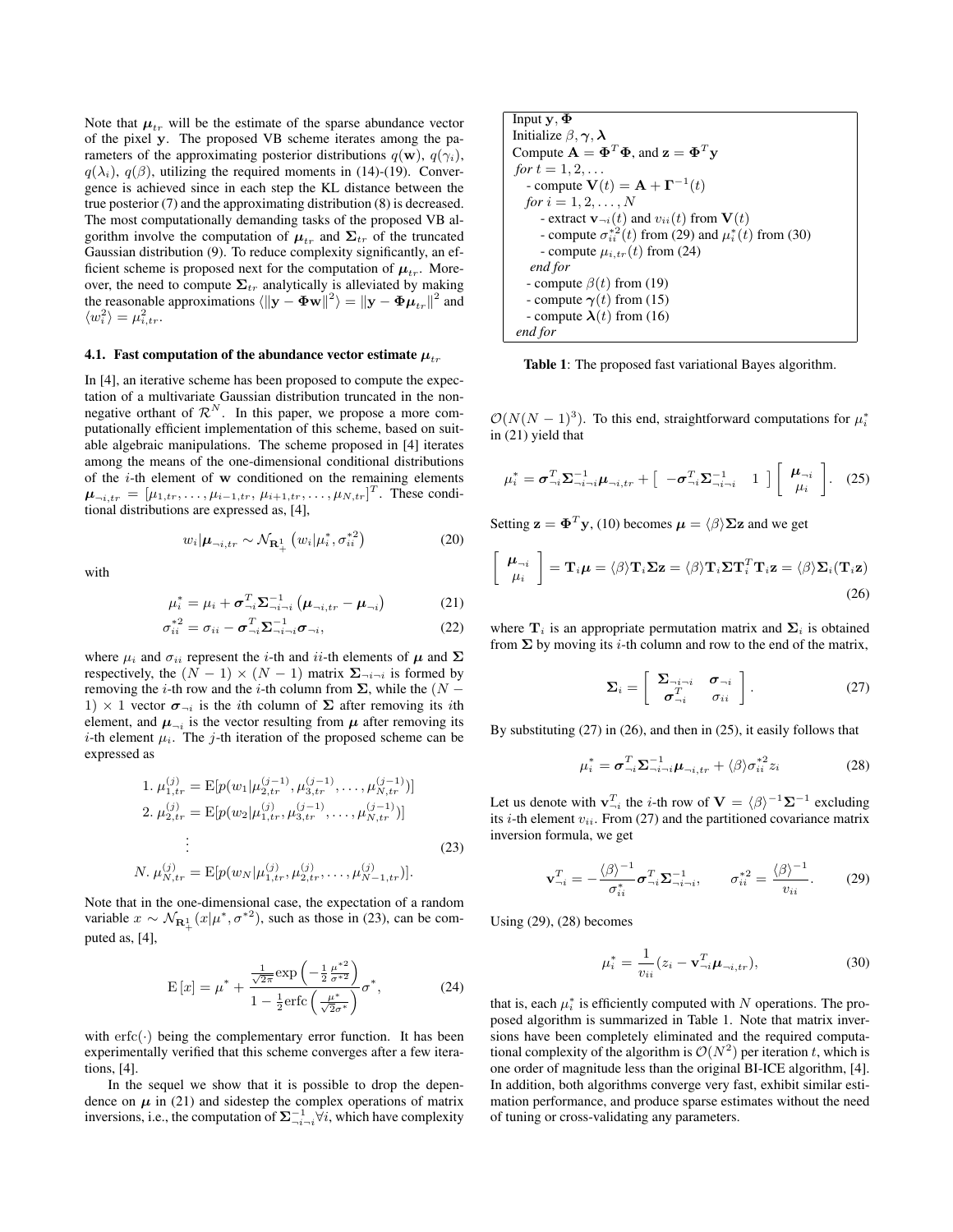Note that  $\mu_{tr}$  will be the estimate of the sparse abundance vector of the pixel y. The proposed VB scheme iterates among the parameters of the approximating posterior distributions  $q(\mathbf{w})$ ,  $q(\gamma_i)$ ,  $q(\lambda_i)$ ,  $q(\beta)$ , utilizing the required moments in (14)-(19). Convergence is achieved since in each step the KL distance between the true posterior (7) and the approximating distribution (8) is decreased. The most computationally demanding tasks of the proposed VB algorithm involve the computation of  $\mu_{tr}$  and  $\Sigma_{tr}$  of the truncated Gaussian distribution (9). To reduce complexity significantly, an efficient scheme is proposed next for the computation of  $\mu_{tr}$ . Moreover, the need to compute  $\Sigma_{tr}$  analytically is alleviated by making the reasonable approximations  $\langle \|\mathbf{y} - \mathbf{\Phi} \mathbf{w}\|^2 \rangle = \|\mathbf{y} - \mathbf{\Phi} \boldsymbol{\mu}_{tr}\|^2$  and  $\langle w_i^2 \rangle = \mu_{i,tr}^2$ .

#### 4.1. Fast computation of the abundance vector estimate  $\mu_{tr}$

In [4], an iterative scheme has been proposed to compute the expectation of a multivariate Gaussian distribution truncated in the nonnegative orthant of  $\mathcal{R}^N$ . In this paper, we propose a more computationally efficient implementation of this scheme, based on suitable algebraic manipulations. The scheme proposed in [4] iterates among the means of the one-dimensional conditional distributions of the  $i$ -th element of  $w$  conditioned on the remaining elements  $\mu_{\neg i, tr} = [\mu_{1, tr}, \dots, \mu_{i-1, tr}, \mu_{i+1, tr}, \dots, \mu_{N, tr}]^T$ . These conditional distributions are expressed as, [4],

$$
w_i|\boldsymbol{\mu}_{\neg i,tr} \sim \mathcal{N}_{\mathbf{R}^1_+} \left(w_i|\mu_i^*, \sigma_{ii}^{*2}\right)
$$
 (20)

with

$$
\mu_i^* = \mu_i + \sigma_{\neg i}^T \Sigma_{\neg i \neg i}^{-1} \left( \mu_{\neg i, tr} - \mu_{\neg i} \right)
$$
 (21)

$$
\sigma_{ii}^{*2} = \sigma_{ii} - \sigma_{\neg i}^T \Sigma_{\neg i \neg i}^{-1} \sigma_{\neg i}, \qquad (22)
$$

where  $\mu_i$  and  $\sigma_{ii}$  represent the *i*-th and *ii*-th elements of  $\mu$  and  $\Sigma$ respectively, the  $(N - 1) \times (N - 1)$  matrix  $\Sigma_{\neg i \neg i}$  is formed by removing the *i*-th row and the *i*-th column from  $\Sigma$ , while the (N – 1)  $\times$  1 vector  $\sigma_{\neg i}$  is the *i*th column of  $\Sigma$  after removing its *i*th element, and  $\mu_{\neg i}$  is the vector resulting from  $\mu$  after removing its *i*-th element  $\mu_i$ . The *j*-th iteration of the proposed scheme can be expressed as

1. 
$$
\mu_{1,tr}^{(j)} = \mathbb{E}[p(w_1 | \mu_{2,tr}^{(j-1)}, \mu_{3,tr}^{(j-1)}, \dots, \mu_{N,tr}^{(j-1)})]
$$
  
\n2. 
$$
\mu_{2,tr}^{(j)} = \mathbb{E}[p(w_2 | \mu_{1,tr}^{(j)}, \mu_{3,tr}^{(j-1)}, \dots, \mu_{N,tr}^{(j-1)})]
$$
  
\n
$$
\vdots
$$
  
\n
$$
N. \mu_{N,tr}^{(j)} = \mathbb{E}[p(w_N | \mu_{1,tr}^{(j)}, \mu_{2,tr}^{(j)}, \dots, \mu_{N-1,tr}^{(j)})].
$$
  
\n(23)

Note that in the one-dimensional case, the expectation of a random variable  $x \sim \mathcal{N}_{\mathbf{R}^1_+}(x|\mu^*, \sigma^{*2})$ , such as those in (23), can be computed as, [4],

$$
\mathcal{E}\left[x\right] = \mu^* + \frac{\frac{1}{\sqrt{2\pi}} \exp\left(-\frac{1}{2} \frac{\mu^{*2}}{\sigma^{*2}}\right)}{1 - \frac{1}{2} \text{erfc}\left(\frac{\mu^*}{\sqrt{2}\sigma^*}\right)} \sigma^*,\tag{24}
$$

with  $erfc(\cdot)$  being the complementary error function. It has been experimentally verified that this scheme converges after a few iterations, [4].

In the sequel we show that it is possible to drop the dependence on  $\mu$  in (21) and sidestep the complex operations of matrix inversions, i.e., the computation of  $\sum_{i=1}^{-1} \overline{\forall} i$ , which have complexity

Input 
$$
\mathbf{y}, \mathbf{\Phi}
$$
  
\nInitialize  $\beta, \gamma, \lambda$   
\nCompute  $\mathbf{A} = \mathbf{\Phi}^T \mathbf{\Phi}$ , and  $\mathbf{z} = \mathbf{\Phi}^T \mathbf{y}$   
\nfor  $t = 1, 2, ...$   
\n- compute  $\mathbf{V}(t) = \mathbf{A} + \mathbf{\Gamma}^{-1}(t)$   
\nfor  $i = 1, 2, ..., N$   
\n- extract  $\mathbf{v}_{\neg i}(t)$  and  $v_{ii}(t)$  from  $\mathbf{V}(t)$   
\n- compute  $\sigma_{ii}^{*2}(t)$  from (29) and  $\mu_i^*(t)$  from (30)  
\n- compute  $\mu_{i,tr}(t)$  from (24)  
\n*end for*  
\n- compute  $\beta(t)$  from (19)  
\n- compute  $\gamma(t)$  from (15)  
\n- compute  $\lambda(t)$  from (16)  
\n*end for*

Table 1: The proposed fast variational Bayes algorithm.

 $\mathcal{O}(N(N-1)^3)$ . To this end, straightforward computations for  $\mu_i^*$ in (21) yield that

$$
\mu_i^* = \boldsymbol{\sigma}_{-i}^T \boldsymbol{\Sigma}_{-i-i}^{-1} \boldsymbol{\mu}_{-i,tr} + \begin{bmatrix} -\boldsymbol{\sigma}_{-i}^T \boldsymbol{\Sigma}_{-i-i}^{-1} & 1 \end{bmatrix} \begin{bmatrix} \boldsymbol{\mu}_{-i} \\ \mu_i \end{bmatrix}.
$$
 (25)

Setting  $\mathbf{z} = \mathbf{\Phi}^T \mathbf{y}$ , (10) becomes  $\boldsymbol{\mu} = \langle \boldsymbol{\beta} \rangle \boldsymbol{\Sigma} \mathbf{z}$  and we get

$$
\begin{bmatrix} \boldsymbol{\mu}_{\neg i} \\ \mu_i \end{bmatrix} = \mathbf{T}_i \boldsymbol{\mu} = \langle \beta \rangle \mathbf{T}_i \boldsymbol{\Sigma} \mathbf{z} = \langle \beta \rangle \mathbf{T}_i \boldsymbol{\Sigma} \mathbf{T}_i^T \mathbf{T}_i \mathbf{z} = \langle \beta \rangle \boldsymbol{\Sigma}_i (\mathbf{T}_i \mathbf{z})
$$
\n(26)

where  $\mathbf{T}_i$  is an appropriate permutation matrix and  $\Sigma_i$  is obtained from  $\Sigma$  by moving its *i*-th column and row to the end of the matrix,

$$
\Sigma_i = \left[ \begin{array}{cc} \Sigma_{\neg i \neg i} & \sigma_{\neg i} \\ \sigma_{\neg i}^T & \sigma_{ii} \end{array} \right]. \tag{27}
$$

By substituting (27) in (26), and then in (25), it easily follows that

$$
\mu_i^* = \boldsymbol{\sigma}_{-i}^T \boldsymbol{\Sigma}_{-i-i}^{-1} \boldsymbol{\mu}_{-i,tr} + \langle \beta \rangle \sigma_{ii}^{*2} z_i \tag{28}
$$

Let us denote with  $\mathbf{v}_{\neg i}^T$  the *i*-th row of  $\mathbf{V} = \langle \beta \rangle^{-1} \Sigma^{-1}$  excluding its *i*-th element  $v_{ii}$ . From (27) and the partitioned covariance matrix inversion formula, we get

$$
\mathbf{v}_{\neg i}^T = -\frac{\langle \beta \rangle^{-1}}{\sigma_{ii}^*} \boldsymbol{\sigma}_{\neg i}^T \boldsymbol{\Sigma}_{\neg i \neg i}^{-1}, \qquad \sigma_{ii}^{*2} = \frac{\langle \beta \rangle^{-1}}{v_{ii}}.
$$
 (29)

Using (29), (28) becomes

$$
\mu_i^* = \frac{1}{v_{ii}} (z_i - \mathbf{v}_{\neg i}^T \boldsymbol{\mu}_{\neg i, tr}),
$$
\n(30)

that is, each  $\mu_i^*$  is efficiently computed with N operations. The proposed algorithm is summarized in Table 1. Note that matrix inversions have been completely eliminated and the required computational complexity of the algorithm is  $\mathcal{O}(N^2)$  per iteration t, which is one order of magnitude less than the original BI-ICE algorithm, [4]. In addition, both algorithms converge very fast, exhibit similar estimation performance, and produce sparse estimates without the need of tuning or cross-validating any parameters.